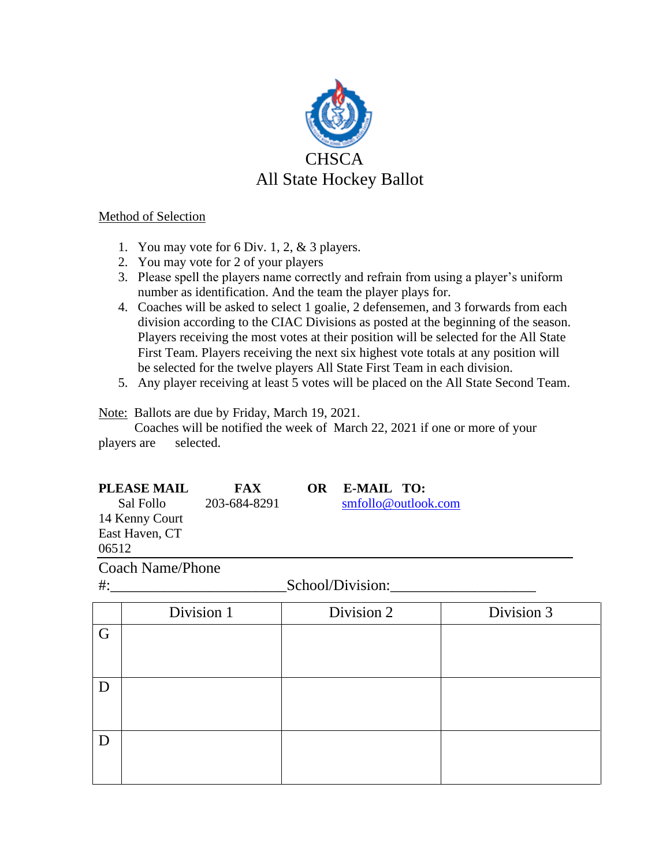

## Method of Selection

- 1. You may vote for 6 Div. 1, 2, & 3 players.
- 2. You may vote for 2 of your players
- 3. Please spell the players name correctly and refrain from using a player's uniform number as identification. And the team the player plays for.
- 4. Coaches will be asked to select 1 goalie, 2 defensemen, and 3 forwards from each division according to the CIAC Divisions as posted at the beginning of the season. Players receiving the most votes at their position will be selected for the All State First Team. Players receiving the next six highest vote totals at any position will be selected for the twelve players All State First Team in each division.
- 5. Any player receiving at least 5 votes will be placed on the All State Second Team.

Note: Ballots are due by Friday, March 19, 2021.

 Coaches will be notified the week of March 22, 2021 if one or more of your players are selected.

FAX OR E-MAIL TO:

Sal Follo 203-684-8291 [smfollo@outlook.com](mailto:smfollo@outlook.com) 14 Kenny Court East Haven, CT 06512

Coach Name/Phone

Division 1 Division 2 Division 3 G D D

#: School/Division: